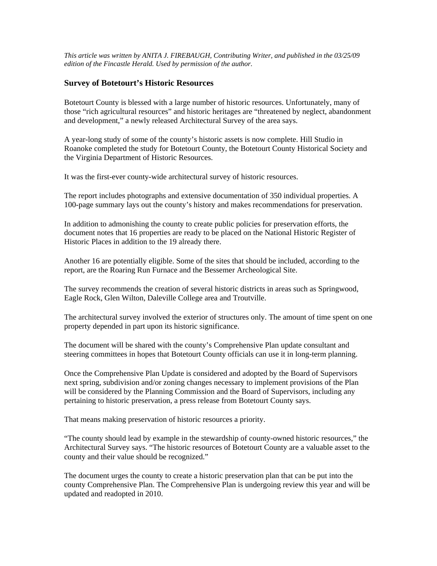*This article was written by ANITA J. FIREBAUGH, Contributing Writer, and published in the 03/25/09 edition of the Fincastle Herald. Used by permission of the author.* 

## **Survey of Botetourt's Historic Resources**

Botetourt County is blessed with a large number of historic resources. Unfortunately, many of those "rich agricultural resources" and historic heritages are "threatened by neglect, abandonment and development," a newly released Architectural Survey of the area says.

A year-long study of some of the county's historic assets is now complete. Hill Studio in Roanoke completed the study for Botetourt County, the Botetourt County Historical Society and the Virginia Department of Historic Resources.

It was the first-ever county-wide architectural survey of historic resources.

The report includes photographs and extensive documentation of 350 individual properties. A 100-page summary lays out the county's history and makes recommendations for preservation.

In addition to admonishing the county to create public policies for preservation efforts, the document notes that 16 properties are ready to be placed on the National Historic Register of Historic Places in addition to the 19 already there.

Another 16 are potentially eligible. Some of the sites that should be included, according to the report, are the Roaring Run Furnace and the Bessemer Archeological Site.

The survey recommends the creation of several historic districts in areas such as Springwood, Eagle Rock, Glen Wilton, Daleville College area and Troutville.

The architectural survey involved the exterior of structures only. The amount of time spent on one property depended in part upon its historic significance.

The document will be shared with the county's Comprehensive Plan update consultant and steering committees in hopes that Botetourt County officials can use it in long-term planning.

Once the Comprehensive Plan Update is considered and adopted by the Board of Supervisors next spring, subdivision and/or zoning changes necessary to implement provisions of the Plan will be considered by the Planning Commission and the Board of Supervisors, including any pertaining to historic preservation, a press release from Botetourt County says.

That means making preservation of historic resources a priority.

"The county should lead by example in the stewardship of county-owned historic resources," the Architectural Survey says. "The historic resources of Botetourt County are a valuable asset to the county and their value should be recognized."

The document urges the county to create a historic preservation plan that can be put into the county Comprehensive Plan. The Comprehensive Plan is undergoing review this year and will be updated and readopted in 2010.